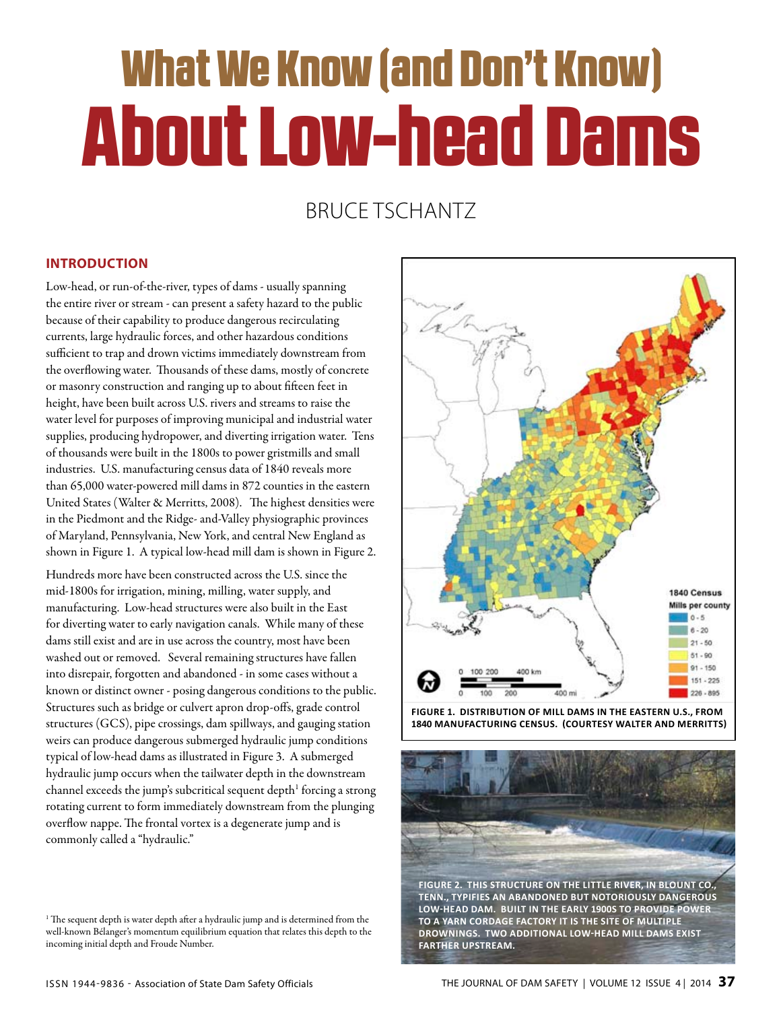# What We Know (and Don't Know) About Low-head Dams

### Bruce Tschantz

#### **Introduction**

Low-head, or run-of-the-river, types of dams - usually spanning the entire river or stream - can present a safety hazard to the public because of their capability to produce dangerous recirculating currents, large hydraulic forces, and other hazardous conditions sufficient to trap and drown victims immediately downstream from the overflowing water. Thousands of these dams, mostly of concrete or masonry construction and ranging up to about fifteen feet in height, have been built across U.S. rivers and streams to raise the water level for purposes of improving municipal and industrial water supplies, producing hydropower, and diverting irrigation water. Tens of thousands were built in the 1800s to power gristmills and small industries. U.S. manufacturing census data of 1840 reveals more than 65,000 water-powered mill dams in 872 counties in the eastern United States (Walter & Merritts, 2008). The highest densities were in the Piedmont and the Ridge- and-Valley physiographic provinces of Maryland, Pennsylvania, New York, and central New England as shown in Figure 1. A typical low-head mill dam is shown in Figure 2.

Hundreds more have been constructed across the U.S. since the mid-1800s for irrigation, mining, milling, water supply, and manufacturing. Low-head structures were also built in the East for diverting water to early navigation canals. While many of these dams still exist and are in use across the country, most have been washed out or removed. Several remaining structures have fallen into disrepair, forgotten and abandoned - in some cases without a known or distinct owner - posing dangerous conditions to the public. Structures such as bridge or culvert apron drop-offs, grade control structures (GCS), pipe crossings, dam spillways, and gauging station weirs can produce dangerous submerged hydraulic jump conditions typical of low-head dams as illustrated in Figure 3. A submerged hydraulic jump occurs when the tailwater depth in the downstream channel exceeds the jump's subcritical sequent depth $^1$  forcing a strong rotating current to form immediately downstream from the plunging overflow nappe. The frontal vortex is a degenerate jump and is commonly called a "hydraulic."



**Figure 1. Distribution of mill dams in the Eastern U.S., from 1840 Manufacturing Census. (Courtesy Walter and Merritts)**



<sup>&</sup>lt;sup>1</sup> The sequent depth is water depth after a hydraulic jump and is determined from the well-known Bélanger's momentum equilibrium equation that relates this depth to the incoming initial depth and Froude Number.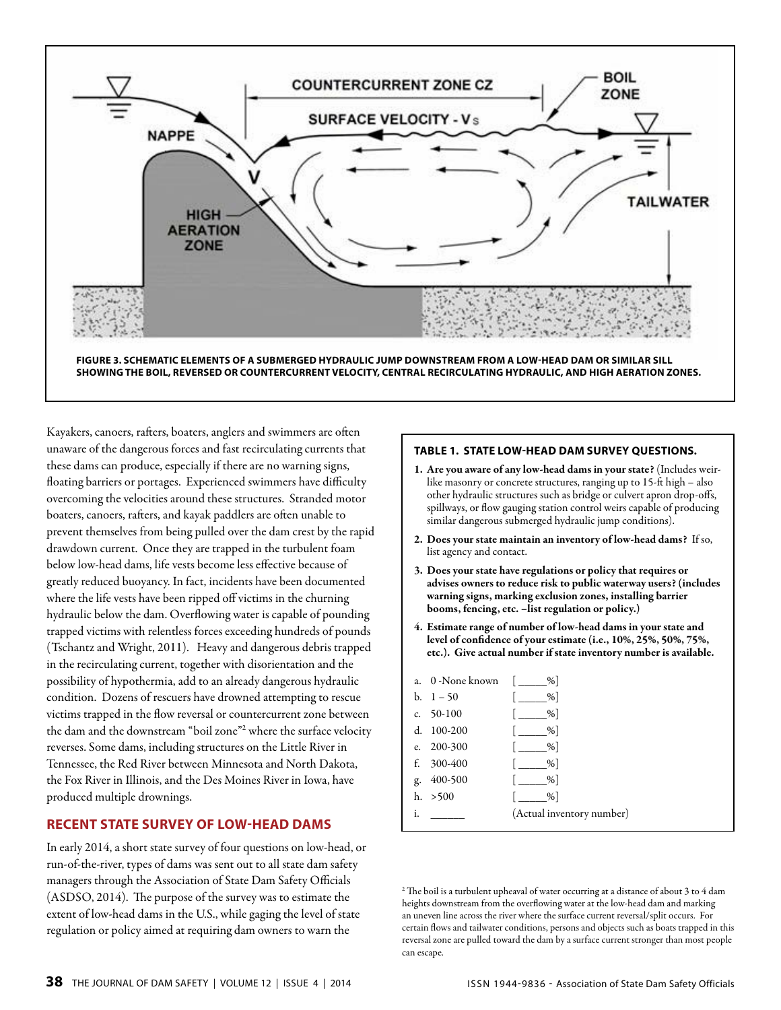

**Figure 3. Schematic elements of a submerged hydraulic jump downstream from a low-head dam or similar sill showing the boil, reversed or countercurrent velocity, central recirculating hydraulic, and high aeration zones.**

Kayakers, canoers, rafters, boaters, anglers and swimmers are often unaware of the dangerous forces and fast recirculating currents that these dams can produce, especially if there are no warning signs, floating barriers or portages. Experienced swimmers have difficulty overcoming the velocities around these structures. Stranded motor boaters, canoers, rafters, and kayak paddlers are often unable to prevent themselves from being pulled over the dam crest by the rapid drawdown current. Once they are trapped in the turbulent foam below low-head dams, life vests become less effective because of greatly reduced buoyancy. In fact, incidents have been documented where the life vests have been ripped off victims in the churning hydraulic below the dam. Overflowing water is capable of pounding trapped victims with relentless forces exceeding hundreds of pounds (Tschantz and Wright, 2011). Heavy and dangerous debris trapped in the recirculating current, together with disorientation and the possibility of hypothermia, add to an already dangerous hydraulic condition. Dozens of rescuers have drowned attempting to rescue victims trapped in the flow reversal or countercurrent zone between the dam and the downstream "boil zone"<sup>2</sup> where the surface velocity reverses. Some dams, including structures on the Little River in Tennessee, the Red River between Minnesota and North Dakota, the Fox River in Illinois, and the Des Moines River in Iowa, have produced multiple drownings.

#### **Recent State Survey of Low-head Dams**

In early 2014, a short state survey of four questions on low-head, or run-of-the-river, types of dams was sent out to all state dam safety managers through the Association of State Dam Safety Officials (ASDSO, 2014). The purpose of the survey was to estimate the extent of low-head dams in the U.S., while gaging the level of state regulation or policy aimed at requiring dam owners to warn the

#### **Table 1. State Low-head Dam Survey Questions.**

- 1. Are you aware of any low-head dams in your state? (Includes weirlike masonry or concrete structures, ranging up to 15-ft high – also other hydraulic structures such as bridge or culvert apron drop-offs, spillways, or flow gauging station control weirs capable of producing similar dangerous submerged hydraulic jump conditions).
- 2. Does your state maintain an inventory of low-head dams? If so, list agency and contact.
- 3. Does your state have regulations or policy that requires or advises owners to reduce risk to public waterway users? (includes warning signs, marking exclusion zones, installing barrier booms, fencing, etc. -list regulation or policy.)
- 4. Estimate range of number of low-head dams in your state and level of confidence of your estimate (i.e., 10%, 25%, 50%, 75%, etc.). Give actual number if state inventory number is available.

| a. 0 -None known | %                         |
|------------------|---------------------------|
| b. $1 - 50$      | %                         |
| c. $50-100$      | %                         |
| 100-200<br>d.    | %                         |
| e. $200 - 300$   | %                         |
| 300-400<br>£.    | %                         |
| 400-500<br>g.    | %                         |
| h. > 500         | %                         |
| i.               | (Actual inventory number) |

<sup>2</sup> The boil is a turbulent upheaval of water occurring at a distance of about 3 to 4 dam heights downstream from the overflowing water at the low-head dam and marking an uneven line across the river where the surface current reversal/split occurs. For certain flows and tailwater conditions, persons and objects such as boats trapped in this reversal zone are pulled toward the dam by a surface current stronger than most people can escape.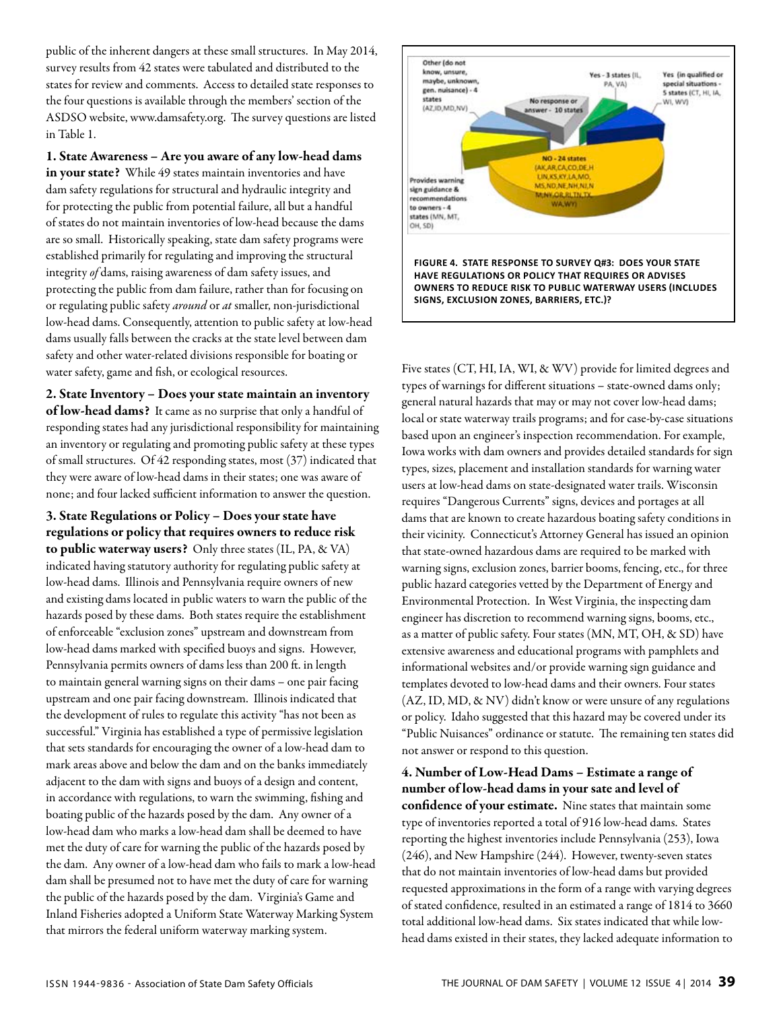public of the inherent dangers at these small structures. In May 2014, survey results from 42 states were tabulated and distributed to the states for review and comments. Access to detailed state responses to the four questions is available through the members' section of the ASDSO website, www.damsafety.org. The survey questions are listed in Table 1.

1. State Awareness – Are you aware of any low-head dams in your state? While 49 states maintain inventories and have dam safety regulations for structural and hydraulic integrity and for protecting the public from potential failure, all but a handful of states do not maintain inventories of low-head because the dams are so small. Historically speaking, state dam safety programs were established primarily for regulating and improving the structural integrity *of* dams, raising awareness of dam safety issues, and protecting the public from dam failure, rather than for focusing on or regulating public safety *around* or *at* smaller, non-jurisdictional low-head dams. Consequently, attention to public safety at low-head dams usually falls between the cracks at the state level between dam safety and other water-related divisions responsible for boating or water safety, game and fish, or ecological resources.

2. State Inventory – Does your state maintain an inventory of low-head dams? It came as no surprise that only a handful of responding states had any jurisdictional responsibility for maintaining an inventory or regulating and promoting public safety at these types of small structures. Of 42 responding states, most (37) indicated that they were aware of low-head dams in their states; one was aware of none; and four lacked sufficient information to answer the question.

3. State Regulations or Policy – Does your state have regulations or policy that requires owners to reduce risk to public waterway users? Only three states (IL, PA, & VA) indicated having statutory authority for regulating public safety at low-head dams. Illinois and Pennsylvania require owners of new and existing dams located in public waters to warn the public of the hazards posed by these dams. Both states require the establishment of enforceable "exclusion zones" upstream and downstream from low-head dams marked with specified buoys and signs. However, Pennsylvania permits owners of dams less than 200 ft. in length to maintain general warning signs on their dams – one pair facing upstream and one pair facing downstream. Illinois indicated that the development of rules to regulate this activity "has not been as successful." Virginia has established a type of permissive legislation that sets standards for encouraging the owner of a low-head dam to mark areas above and below the dam and on the banks immediately adjacent to the dam with signs and buoys of a design and content, in accordance with regulations, to warn the swimming, fishing and boating public of the hazards posed by the dam. Any owner of a low-head dam who marks a low-head dam shall be deemed to have met the duty of care for warning the public of the hazards posed by the dam. Any owner of a low-head dam who fails to mark a low-head dam shall be presumed not to have met the duty of care for warning the public of the hazards posed by the dam. Virginia's Game and Inland Fisheries adopted a Uniform State Waterway Marking System that mirrors the federal uniform waterway marking system.



Five states (CT, HI, IA, WI, & WV) provide for limited degrees and types of warnings for different situations – state-owned dams only; general natural hazards that may or may not cover low-head dams; local or state waterway trails programs; and for case-by-case situations based upon an engineer's inspection recommendation. For example, Iowa works with dam owners and provides detailed standards for sign types, sizes, placement and installation standards for warning water users at low-head dams on state-designated water trails. Wisconsin requires "Dangerous Currents" signs, devices and portages at all dams that are known to create hazardous boating safety conditions in their vicinity. Connecticut's Attorney General has issued an opinion that state-owned hazardous dams are required to be marked with warning signs, exclusion zones, barrier booms, fencing, etc., for three public hazard categories vetted by the Department of Energy and Environmental Protection. In West Virginia, the inspecting dam engineer has discretion to recommend warning signs, booms, etc., as a matter of public safety. Four states (MN, MT, OH, & SD) have extensive awareness and educational programs with pamphlets and informational websites and/or provide warning sign guidance and templates devoted to low-head dams and their owners. Four states (AZ, ID, MD, & NV) didn't know or were unsure of any regulations or policy. Idaho suggested that this hazard may be covered under its "Public Nuisances" ordinance or statute. The remaining ten states did not answer or respond to this question.

4. Number of Low-Head Dams – Estimate a range of number of low-head dams in your sate and level of confidence of your estimate. Nine states that maintain some type of inventories reported a total of 916 low-head dams. States reporting the highest inventories include Pennsylvania (253), Iowa (246), and New Hampshire (244). However, twenty-seven states that do not maintain inventories of low-head dams but provided requested approximations in the form of a range with varying degrees of stated confidence, resulted in an estimated a range of 1814 to 3660 total additional low-head dams. Six states indicated that while lowhead dams existed in their states, they lacked adequate information to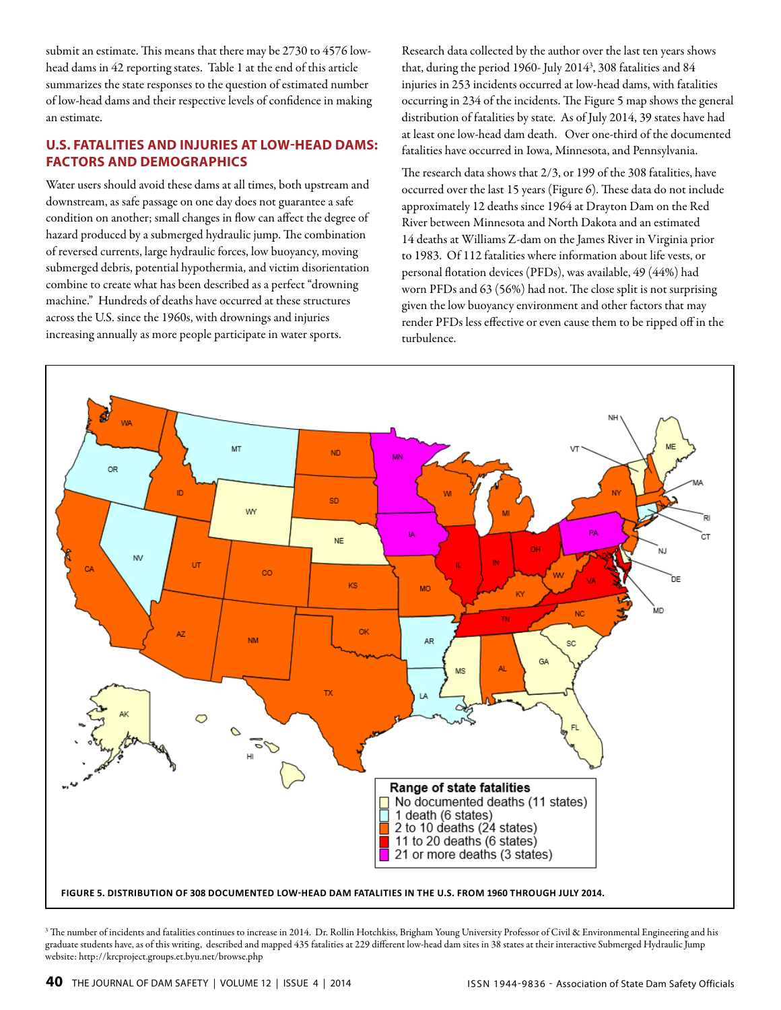submit an estimate. This means that there may be 2730 to 4576 lowhead dams in 42 reporting states. Table 1 at the end of this article summarizes the state responses to the question of estimated number of low-head dams and their respective levels of confidence in making an estimate.

#### **U.S. Fatalities and Injuries at Low-head Dams: Factors and Demographics**

Water users should avoid these dams at all times, both upstream and downstream, as safe passage on one day does not guarantee a safe condition on another; small changes in flow can affect the degree of hazard produced by a submerged hydraulic jump. The combination of reversed currents, large hydraulic forces, low buoyancy, moving submerged debris, potential hypothermia, and victim disorientation combine to create what has been described as a perfect "drowning machine." Hundreds of deaths have occurred at these structures across the U.S. since the 1960s, with drownings and injuries increasing annually as more people participate in water sports.

Research data collected by the author over the last ten years shows that, during the period 1960- July 20143 , 308 fatalities and 84 injuries in 253 incidents occurred at low-head dams, with fatalities occurring in 234 of the incidents. The Figure 5 map shows the general distribution of fatalities by state. As of July 2014, 39 states have had at least one low-head dam death. Over one-third of the documented fatalities have occurred in Iowa, Minnesota, and Pennsylvania.

The research data shows that 2/3, or 199 of the 308 fatalities, have occurred over the last 15 years (Figure 6). These data do not include approximately 12 deaths since 1964 at Drayton Dam on the Red River between Minnesota and North Dakota and an estimated 14 deaths at Williams Z-dam on the James River in Virginia prior to 1983. Of 112 fatalities where information about life vests, or personal flotation devices (PFDs), was available, 49 (44%) had worn PFDs and 63 (56%) had not. The close split is not surprising given the low buoyancy environment and other factors that may render PFDs less effective or even cause them to be ripped off in the turbulence.



<sup>3</sup> The number of incidents and fatalities continues to increase in 2014. Dr. Rollin Hotchkiss, Brigham Young University Professor of Civil & Environmental Engineering and his graduate students have, as of this writing, described and mapped 435 fatalities at 229 different low-head dam sites in 38 states at their interactive Submerged Hydraulic Jump website: http://krcproject.groups.et.byu.net/browse.php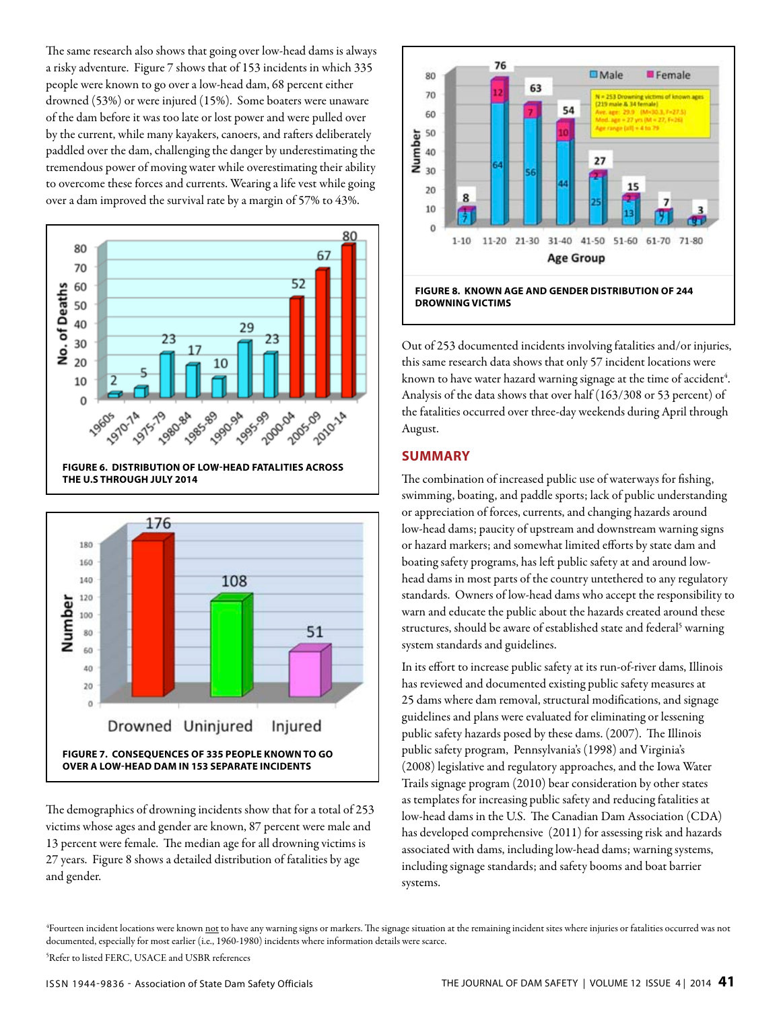The same research also shows that going over low-head dams is always a risky adventure. Figure 7 shows that of 153 incidents in which 335 people were known to go over a low-head dam, 68 percent either drowned (53%) or were injured (15%). Some boaters were unaware of the dam before it was too late or lost power and were pulled over by the current, while many kayakers, canoers, and rafters deliberately paddled over the dam, challenging the danger by underestimating the tremendous power of moving water while overestimating their ability to overcome these forces and currents. Wearing a life vest while going over a dam improved the survival rate by a margin of 57% to 43%.





The demographics of drowning incidents show that for a total of 253 victims whose ages and gender are known, 87 percent were male and 13 percent were female. The median age for all drowning victims is 27 years. Figure 8 shows a detailed distribution of fatalities by age and gender.



**Figure 8. known age and gender distribution of 244 drowning victims**

Out of 253 documented incidents involving fatalities and/or injuries, this same research data shows that only 57 incident locations were known to have water hazard warning signage at the time of accident<sup>4</sup>. Analysis of the data shows that over half (163/308 or 53 percent) of the fatalities occurred over three-day weekends during April through August.

#### **Summary**

The combination of increased public use of waterways for fishing, swimming, boating, and paddle sports; lack of public understanding or appreciation of forces, currents, and changing hazards around low-head dams; paucity of upstream and downstream warning signs or hazard markers; and somewhat limited efforts by state dam and boating safety programs, has left public safety at and around lowhead dams in most parts of the country untethered to any regulatory standards. Owners of low-head dams who accept the responsibility to warn and educate the public about the hazards created around these structures, should be aware of established state and federal<sup>5</sup> warning system standards and guidelines.

In its effort to increase public safety at its run-of-river dams, Illinois has reviewed and documented existing public safety measures at 25 dams where dam removal, structural modifications, and signage guidelines and plans were evaluated for eliminating or lessening public safety hazards posed by these dams. (2007). The Illinois public safety program, Pennsylvania's (1998) and Virginia's (2008) legislative and regulatory approaches, and the Iowa Water Trails signage program (2010) bear consideration by other states as templates for increasing public safety and reducing fatalities at low-head dams in the U.S. The Canadian Dam Association (CDA) has developed comprehensive (2011) for assessing risk and hazards associated with dams, including low-head dams; warning systems, including signage standards; and safety booms and boat barrier systems.

<sup>4</sup>Fourteen incident locations were known <u>not</u> to have any warning signs or markers. The signage situation at the remaining incident sites where injuries or fatalities occurred was not documented, especially for most earlier (i.e., 1960-1980) incidents where information details were scarce.

5 Refer to listed FERC, USACE and USBR references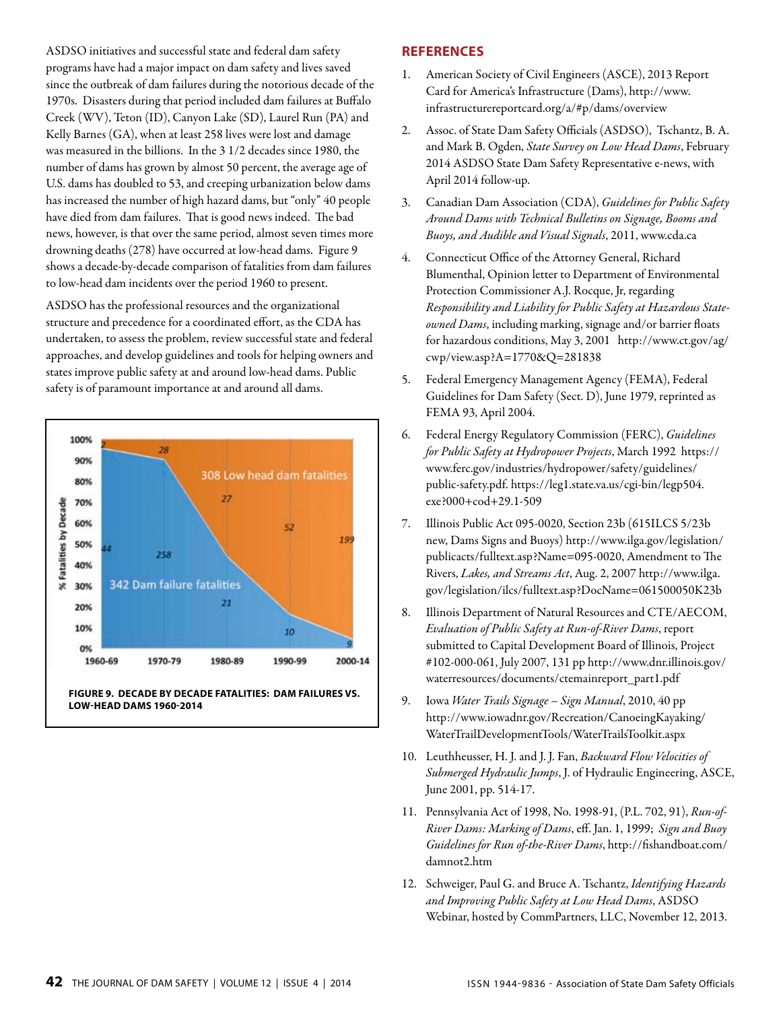ASDSO initiatives and successful state and federal dam safety programs have had a major impact on dam safety and lives saved since the outbreak of dam failures during the notorious decade of the 1970s. Disasters during that period included dam failures at Buffalo Creek (WV), Teton (ID), Canyon Lake (SD), Laurel Run (PA) and Kelly Barnes (GA), when at least 258 lives were lost and damage was measured in the billions. In the 3 1/2 decades since 1980, the number of dams has grown by almost 50 percent, the average age of U.S. dams has doubled to 53, and creeping urbanization below dams has increased the number of high hazard dams, but "only" 40 people have died from dam failures. That is good news indeed. The bad news, however, is that over the same period, almost seven times more drowning deaths (278) have occurred at low-head dams. Figure 9 shows a decade-by-decade comparison of fatalities from dam failures to low-head dam incidents over the period 1960 to present.

ASDSO has the professional resources and the organizational structure and precedence for a coordinated effort, as the CDA has undertaken, to assess the problem, review successful state and federal approaches, and develop guidelines and tools for helping owners and states improve public safety at and around low-head dams. Public safety is of paramount importance at and around all dams.



#### **References**

- 1. American Society of Civil Engineers (ASCE), 2013 Report Card for America's Infrastructure (Dams), http://www. infrastructurereportcard.org/a/#p/dams/overview
- 2. Assoc. of State Dam Safety Officials (ASDSO), Tschantz, B. A. and Mark B. Ogden, *State Survey on Low Head Dams*, February 2014 ASDSO State Dam Safety Representative e-news, with April 2014 follow-up.
- 3. Canadian Dam Association (CDA), *Guidelines for Public Safety Around Dams with Technical Bulletins on Signage, Booms and Buoys, and Audible and Visual Signals*, 2011, www.cda.ca
- 4. Connecticut Office of the Attorney General, Richard Blumenthal, Opinion letter to Department of Environmental Protection Commissioner A.J. Rocque, Jr, regarding *Responsibility and Liability for Public Safety at Hazardous Stateowned Dams*, including marking, signage and/or barrier floats for hazardous conditions, May 3, 2001 http://www.ct.gov/ag/ cwp/view.asp?A=1770&Q=281838
- 5. Federal Emergency Management Agency (FEMA), Federal Guidelines for Dam Safety (Sect. D), June 1979, reprinted as FEMA 93, April 2004.
- 6. Federal Energy Regulatory Commission (FERC), *Guidelines for Public Safety at Hydropower Projects*, March 1992 https:// www.ferc.gov/industries/hydropower/safety/guidelines/ public-safety.pdf. https://leg1.state.va.us/cgi-bin/legp504. exe?000+cod+29.1-509
- 7. Illinois Public Act 095-0020, Section 23b (615ILCS 5/23b new, Dams Signs and Buoys) http://www.ilga.gov/legislation/ publicacts/fulltext.asp?Name=095-0020, Amendment to The Rivers, *Lakes, and Streams Act*, Aug. 2, 2007 http://www.ilga. gov/legislation/ilcs/fulltext.asp?DocName=061500050K23b
- 8. Illinois Department of Natural Resources and CTE/AECOM, *Evaluation of Public Safety at Run-of-River Dams*, report submitted to Capital Development Board of Illinois, Project #102-000-061, July 2007, 131 pp http://www.dnr.illinois.gov/ waterresources/documents/ctemainreport\_part1.pdf
- 9. Iowa *Water Trails Signage Sign Manual*, 2010, 40 pp http://www.iowadnr.gov/Recreation/CanoeingKayaking/ WaterTrailDevelopmentTools/WaterTrailsToolkit.aspx
- 10. Leuthheusser, H. J. and J. J. Fan, *Backward Flow Velocities of Submerged Hydraulic Jumps*, J. of Hydraulic Engineering, ASCE, June 2001, pp. 514-17.
- 11. Pennsylvania Act of 1998, No. 1998-91, (P.L. 702, 91), *Run-of-River Dams: Marking of Dams*, eff. Jan. 1, 1999; *Sign and Buoy Guidelines for Run of-the-River Dams*, http://fishandboat.com/ damnot2.htm
- 12. Schweiger, Paul G. and Bruce A. Tschantz, *Identifying Hazards and Improving Public Safety at Low Head Dams*, ASDSO Webinar, hosted by CommPartners, LLC, November 12, 2013.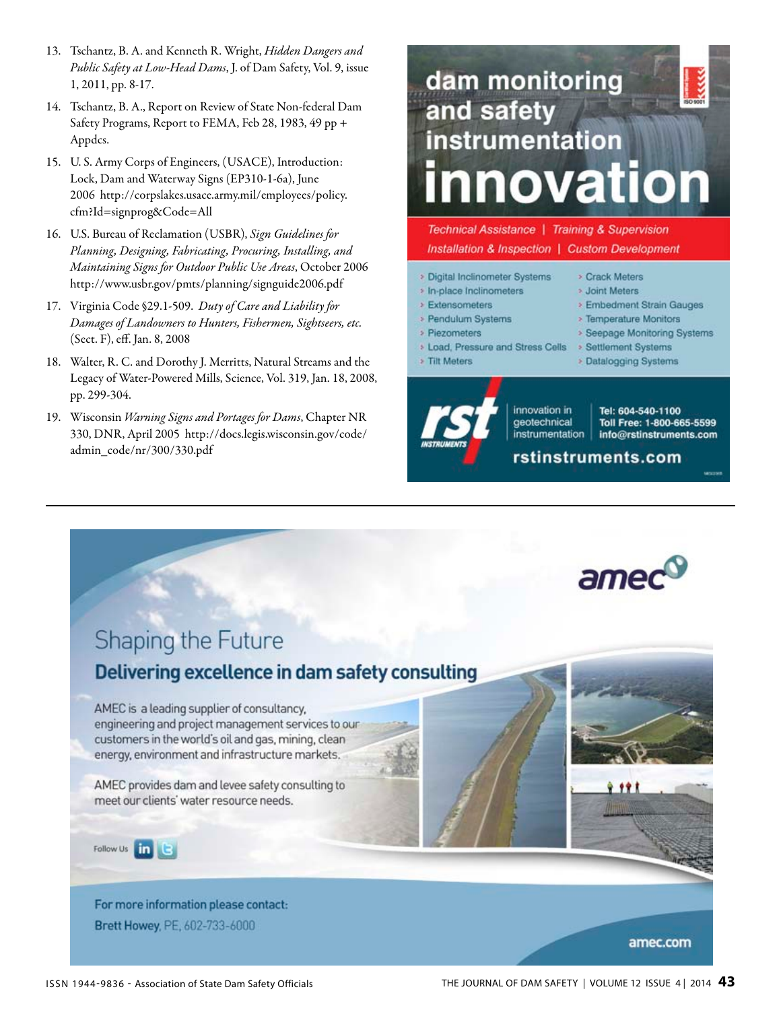- 13. Tschantz, B. A. and Kenneth R. Wright, *Hidden Dangers and Public Safety at Low-Head Dams*, J. of Dam Safety, Vol. 9, issue 1, 2011, pp. 8-17.
- 14. Tschantz, B. A., Report on Review of State Non-federal Dam Safety Programs, Report to FEMA, Feb 28, 1983, 49 pp + Appdcs.
- 15. U. S. Army Corps of Engineers, (USACE), Introduction: Lock, Dam and Waterway Signs (EP310-1-6a), June 2006 http://corpslakes.usace.army.mil/employees/policy. cfm?Id=signprog&Code=All
- 16. U.S. Bureau of Reclamation (USBR), *Sign Guidelines for Planning, Designing, Fabricating, Procuring, Installing, and Maintaining Signs for Outdoor Public Use Areas*, October 2006 http://www.usbr.gov/pmts/planning/signguide2006.pdf
- 17. Virginia Code §29.1-509. *Duty of Care and Liability for Damages of Landowners to Hunters, Fishermen, Sightseers, etc.* (Sect. F), eff. Jan. 8, 2008
- 18. Walter, R. C. and Dorothy J. Merritts, Natural Streams and the Legacy of Water-Powered Mills, Science, Vol. 319, Jan. 18, 2008, pp. 299-304.
- 19. Wisconsin *Warning Signs and Portages for Dams*, Chapter NR 330, DNR, April 2005 http://docs.legis.wisconsin.gov/code/ admin\_code/nr/300/330.pdf

## dam monitoring and safety instrumentation nnovation

Technical Assistance | Training & Supervision Installation & Inspection | Custom Development

- > Digital Inclinometer Systems
- » In-place Inclinometers
- > Extensometers

> Tilt Meters

- > Pendulum Systems > Piezometers
	-
- > Temperature Monitors > Seepage Monitoring Systems

> Embedment Strain Gauges

> Load, Pressure and Stress Cells > Settlement Systems

> Crack Meters

> Joint Meters

> Datalogging Systems



innovation in geotechnical *instrumentation* 

Toll Free: 1-800-665-5599 info@rstinstruments.com

Tel: 604-540-1100

rstinstruments.com

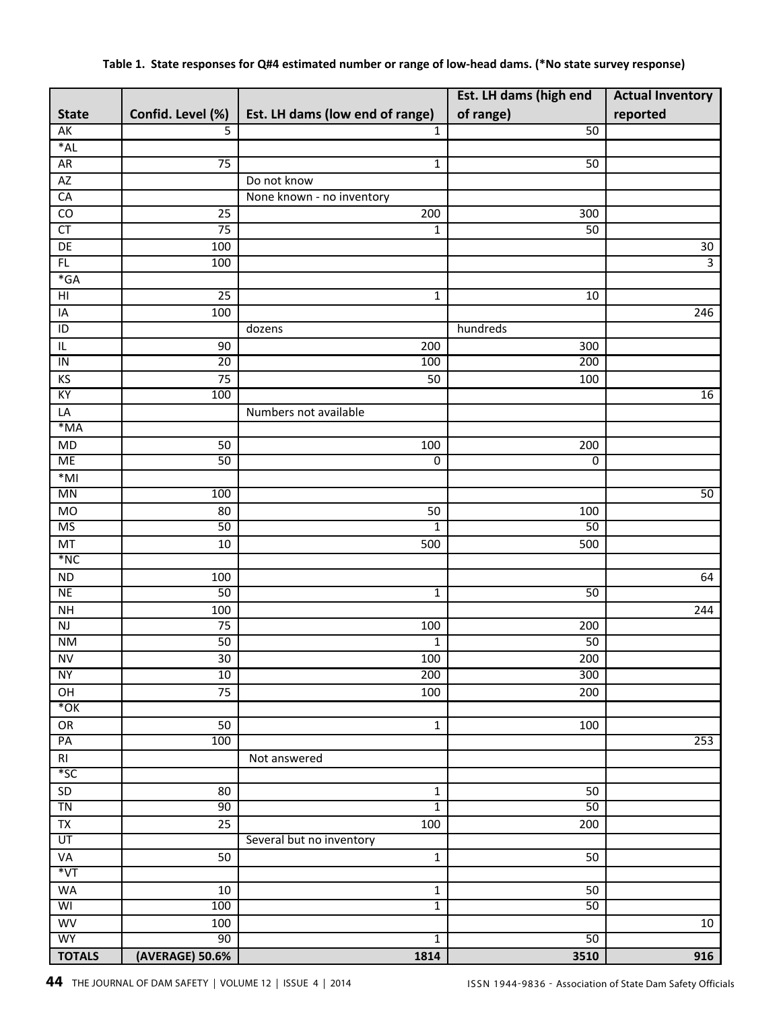|                            |                       |                                 | Est. LH dams (high end | <b>Actual Inventory</b> |
|----------------------------|-----------------------|---------------------------------|------------------------|-------------------------|
| <b>State</b>               | Confid. Level (%)     | Est. LH dams (low end of range) | of range)              | reported                |
| AK                         | 5                     | $\mathbf{1}$                    | 50                     |                         |
| $*AL$                      |                       |                                 |                        |                         |
| <b>AR</b>                  | $\overline{75}$       | $\mathbf 1$                     | 50                     |                         |
| AZ                         |                       | Do not know                     |                        |                         |
| CA                         |                       | None known - no inventory       |                        |                         |
| CO                         | 25                    | 200                             | 300                    |                         |
| $\overline{\text{CT}}$     | 75                    | 1                               | 50                     |                         |
| DE                         | 100                   |                                 |                        | $30\,$                  |
| FL                         | 100                   |                                 |                        | $\overline{3}$          |
| $*GA$                      |                       |                                 |                        |                         |
| $\overline{H}$             | $\overline{25}$       | 1                               | 10                     |                         |
| IA                         | 100                   |                                 |                        | 246                     |
| $\overline{1}$             |                       | dozens                          | hundreds               |                         |
| $\sf IL$                   | 90                    | 200                             | 300                    |                         |
| $\overline{1}$             | 20                    | 100                             | 200                    |                         |
| KS                         | 75                    | 50                              | 100                    |                         |
| KY                         | 100                   |                                 |                        | 16                      |
| LA                         |                       | Numbers not available           |                        |                         |
| $*MA$                      |                       |                                 |                        |                         |
| $\overline{MD}$            | 50                    | 100                             | 200                    |                         |
| <b>ME</b>                  | 50                    | 0                               | 0                      |                         |
| $*$ MI                     |                       |                                 |                        |                         |
| <b>MN</b>                  | 100                   |                                 |                        | 50                      |
| <b>MO</b>                  | 80                    | 50                              | 100                    |                         |
| <b>MS</b>                  | 50                    | 1                               | 50                     |                         |
| MT                         | 10                    | 500                             | 500                    |                         |
| $*NC$                      |                       |                                 |                        |                         |
| $\sf ND$                   | 100                   |                                 |                        | 64                      |
| <b>NE</b>                  | 50                    | $\overline{1}$                  | 50                     |                         |
| <b>NH</b>                  | 100                   |                                 |                        | 244                     |
| $\mathsf{NJ}$<br><b>NM</b> | 75<br>50              | 100                             | 200<br>50              |                         |
|                            |                       | 1                               |                        |                         |
| ${\sf NV}$<br><b>NY</b>    | 30 <sub>2</sub><br>10 | 100<br>200                      | 200<br>300             |                         |
| OH                         | 75                    | 100                             | 200                    |                         |
| $*$ OK                     |                       |                                 |                        |                         |
| OR                         | 50                    | $\mathbf 1$                     | 100                    |                         |
| PA                         | 100                   |                                 |                        | 253                     |
| R <sub>l</sub>             |                       | Not answered                    |                        |                         |
| $*$ SC                     |                       |                                 |                        |                         |
| SD                         | 80                    | $\mathbf 1$                     | 50                     |                         |
| TN                         | 90                    | $\overline{1}$                  | 50                     |                         |
| $\overline{TX}$            | 25                    | 100                             | 200                    |                         |
| UT                         |                       | Several but no inventory        |                        |                         |
| VA                         | 50                    | $\mathbf 1$                     | $\overline{50}$        |                         |
| $*_{\rm VT}$               |                       |                                 |                        |                         |
| WA                         | 10                    | $\mathbf 1$                     | 50                     |                         |
| WI                         | 100                   | $\overline{1}$                  | 50                     |                         |
| WV                         | 100                   |                                 |                        | 10                      |
| <b>WY</b>                  | 90                    | $\overline{1}$                  | 50                     |                         |
| <b>TOTALS</b>              | (AVERAGE) 50.6%       | 1814                            | 3510                   | 916                     |

#### Table 1. State responses for Q#4 estimated number or range of low-head dams. (\*No state survey response)